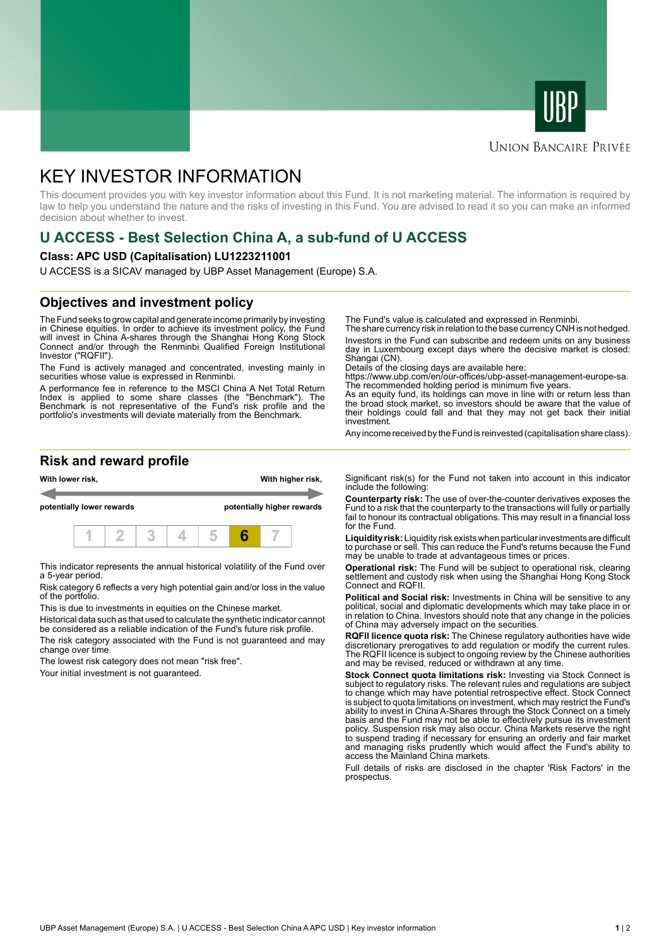



#### **UNION BANCAIRE PRIVÉE**

# KEY INVESTOR INFORMATION

This document provides you with key investor information about this Fund. It is not marketing material. The information is required by law to help you understand the nature and the risks of investing in this Fund. You are advised to read it so you can make an informed decision about whether to invest.

## **U ACCESS - Best Selection China A, a sub-fund of U ACCESS**

#### **Class: APC USD (Capitalisation) LU1223211001**

U ACCESS is a SICAV managed by UBP Asset Management (Europe) S.A.

### **Objectives and investment policy**

The Fund seeks to grow capital and generate income primarily by investing in Chinese equities. In order to achieve its investment policy, the Fund will invest in China A-shares through the Shanghai Hong Kong Stock Connect and/or through the Renminbi Qualified Foreign Institutional Investor ("RQFII").

The Fund is actively managed and concentrated, investing mainly in securities whose value is expressed in Renminbi.

A performance fee in reference to the MSCI China A Net Total Return Index is applied to some share classes (the "Benchmark"). The Benchmark is not representative of the Fund's risk profile and the portfolio's investments will deviate materially from the Benchmark.

The Fund's value is calculated and expressed in Renminbi.

The share currency risk in relation to the base currency CNH is not hedged. Investors in the Fund can subscribe and redeem units on any business day in Luxembourg except days where the decisive market is closed: Shangai (CN).

Details of the closing days are available here:

https://www.ubp.com/en/our-offices/ubp-asset-management-europe-sa. The recommended holding period is minimum five years.

As an equity fund, its holdings can move in line with or return less than the broad stock market, so investors should be aware that the value of their holdings could fall and that they may not get back their initial investment.

Any income received by the Fund is reinvested (capitalisation share class).

### **Risk and reward profile**



This indicator represents the annual historical volatility of the Fund over a 5-year period.

Risk category 6 reflects a very high potential gain and/or loss in the value of the portfolio.

This is due to investments in equities on the Chinese market.

Historical data such as that used to calculate the synthetic indicator cannot be considered as a reliable indication of the Fund's future risk profile.

The risk category associated with the Fund is not guaranteed and may change over time.

The lowest risk category does not mean "risk free".

Your initial investment is not guaranteed.

Significant risk(s) for the Fund not taken into account in this indicator include the following:

**Counterparty risk:** The use of over-the-counter derivatives exposes the Fund to a risk that the counterparty to the transactions will fully or partially fail to honour its contractual obligations. This may result in a financial loss for the Fund.

**Liquidity risk:** Liquidity risk exists when particular investments are difficult to purchase or sell. This can reduce the Fund's returns because the Fund may be unable to trade at advantageous times or prices.

**Operational risk:** The Fund will be subject to operational risk, clearing settlement and custody risk when using the Shanghai Hong Kong Stock Connect and RQFII.

**Political and Social risk:** Investments in China will be sensitive to any political, social and diplomatic developments which may take place in or in relation to China. Investors should note that any change in the policies of China may adversely impact on the securities.

**RQFII licence quota risk:** The Chinese regulatory authorities have wide discretionary prerogatives to add regulation or modify the current rules. The RQFII licence is subject to ongoing review by the Chinese authorities and may be revised, reduced or withdrawn at any time.

**Stock Connect quota limitations risk:** Investing via Stock Connect is subject to regulatory risks. The relevant rules and regulations are subject to change which may have potential retrospective effect. Stock Connect is subject to quota limitations on investment, which may restrict the Fund's ability to invest in China A-Shares through the Stock Connect on a timely basis and the Fund may not be able to effectively pursue its investment policy. Suspension risk may also occur. China Markets reserve the right to suspend trading if necessary for ensuring an orderly and fair market and managing risks prudently which would affect the Fund's ability to access the Mainland China markets.

Full details of risks are disclosed in the chapter 'Risk Factors' in the prospectus.